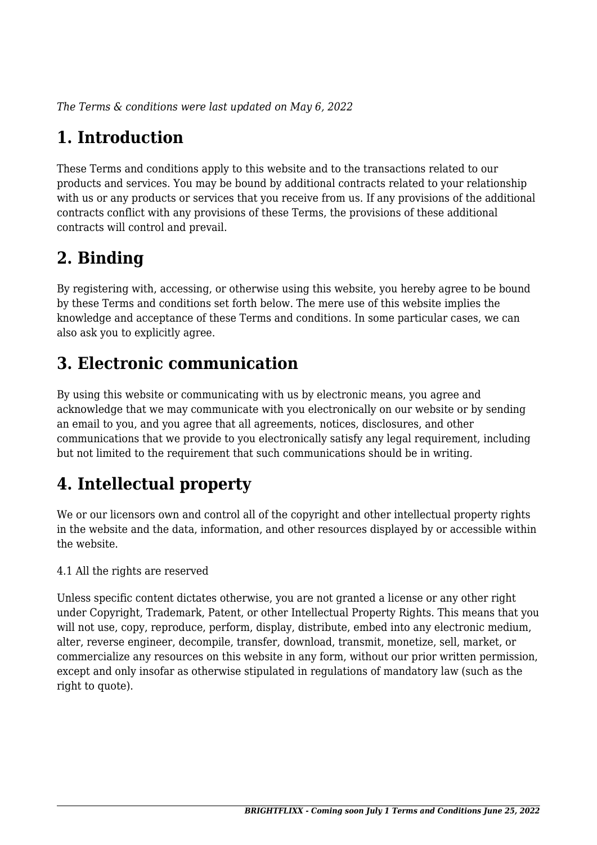*The Terms & conditions were last updated on May 6, 2022*

## **1. Introduction**

These Terms and conditions apply to this website and to the transactions related to our products and services. You may be bound by additional contracts related to your relationship with us or any products or services that you receive from us. If any provisions of the additional contracts conflict with any provisions of these Terms, the provisions of these additional contracts will control and prevail.

#### **2. Binding**

By registering with, accessing, or otherwise using this website, you hereby agree to be bound by these Terms and conditions set forth below. The mere use of this website implies the knowledge and acceptance of these Terms and conditions. In some particular cases, we can also ask you to explicitly agree.

### **3. Electronic communication**

By using this website or communicating with us by electronic means, you agree and acknowledge that we may communicate with you electronically on our website or by sending an email to you, and you agree that all agreements, notices, disclosures, and other communications that we provide to you electronically satisfy any legal requirement, including but not limited to the requirement that such communications should be in writing.

# **4. Intellectual property**

We or our licensors own and control all of the copyright and other intellectual property rights in the website and the data, information, and other resources displayed by or accessible within the website.

4.1 All the rights are reserved

Unless specific content dictates otherwise, you are not granted a license or any other right under Copyright, Trademark, Patent, or other Intellectual Property Rights. This means that you will not use, copy, reproduce, perform, display, distribute, embed into any electronic medium, alter, reverse engineer, decompile, transfer, download, transmit, monetize, sell, market, or commercialize any resources on this website in any form, without our prior written permission, except and only insofar as otherwise stipulated in regulations of mandatory law (such as the right to quote).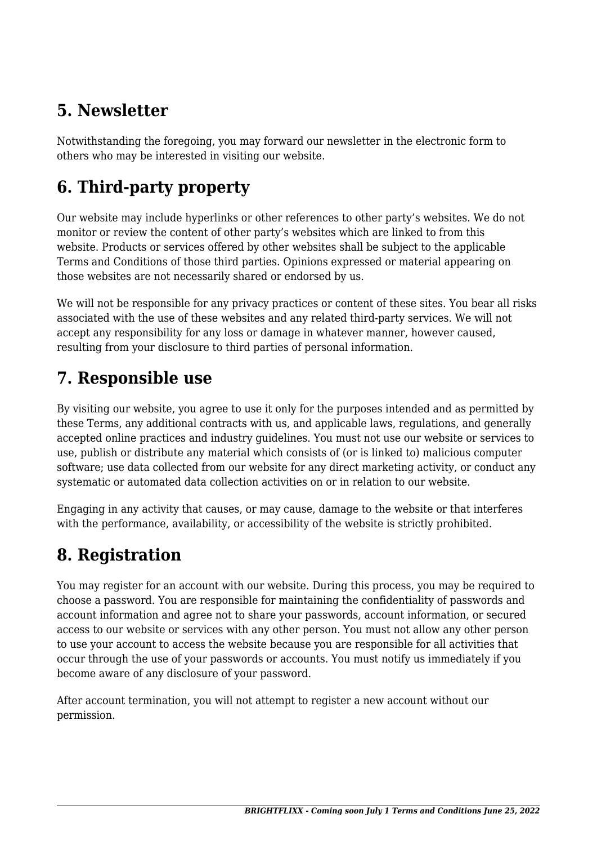#### **5. Newsletter**

Notwithstanding the foregoing, you may forward our newsletter in the electronic form to others who may be interested in visiting our website.

# **6. Third-party property**

Our website may include hyperlinks or other references to other party's websites. We do not monitor or review the content of other party's websites which are linked to from this website. Products or services offered by other websites shall be subject to the applicable Terms and Conditions of those third parties. Opinions expressed or material appearing on those websites are not necessarily shared or endorsed by us.

We will not be responsible for any privacy practices or content of these sites. You bear all risks associated with the use of these websites and any related third-party services. We will not accept any responsibility for any loss or damage in whatever manner, however caused, resulting from your disclosure to third parties of personal information.

#### **7. Responsible use**

By visiting our website, you agree to use it only for the purposes intended and as permitted by these Terms, any additional contracts with us, and applicable laws, regulations, and generally accepted online practices and industry guidelines. You must not use our website or services to use, publish or distribute any material which consists of (or is linked to) malicious computer software; use data collected from our website for any direct marketing activity, or conduct any systematic or automated data collection activities on or in relation to our website.

Engaging in any activity that causes, or may cause, damage to the website or that interferes with the performance, availability, or accessibility of the website is strictly prohibited.

### **8. Registration**

You may register for an account with our website. During this process, you may be required to choose a password. You are responsible for maintaining the confidentiality of passwords and account information and agree not to share your passwords, account information, or secured access to our website or services with any other person. You must not allow any other person to use your account to access the website because you are responsible for all activities that occur through the use of your passwords or accounts. You must notify us immediately if you become aware of any disclosure of your password.

After account termination, you will not attempt to register a new account without our permission.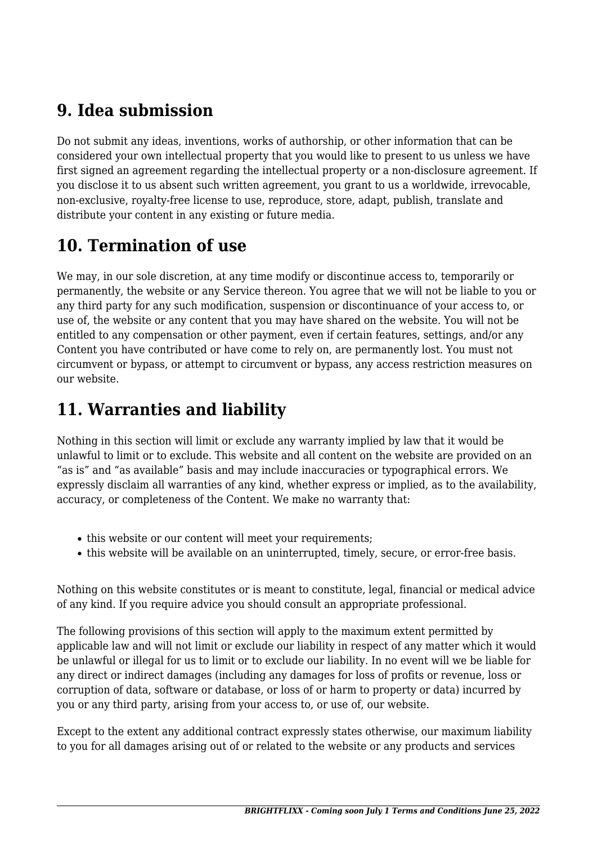#### **9. Idea submission**

Do not submit any ideas, inventions, works of authorship, or other information that can be considered your own intellectual property that you would like to present to us unless we have first signed an agreement regarding the intellectual property or a non-disclosure agreement. If you disclose it to us absent such written agreement, you grant to us a worldwide, irrevocable, non-exclusive, royalty-free license to use, reproduce, store, adapt, publish, translate and distribute your content in any existing or future media.

### **10. Termination of use**

We may, in our sole discretion, at any time modify or discontinue access to, temporarily or permanently, the website or any Service thereon. You agree that we will not be liable to you or any third party for any such modification, suspension or discontinuance of your access to, or use of, the website or any content that you may have shared on the website. You will not be entitled to any compensation or other payment, even if certain features, settings, and/or any Content you have contributed or have come to rely on, are permanently lost. You must not circumvent or bypass, or attempt to circumvent or bypass, any access restriction measures on our website.

### **11. Warranties and liability**

Nothing in this section will limit or exclude any warranty implied by law that it would be unlawful to limit or to exclude. This website and all content on the website are provided on an "as is" and "as available" basis and may include inaccuracies or typographical errors. We expressly disclaim all warranties of any kind, whether express or implied, as to the availability, accuracy, or completeness of the Content. We make no warranty that:

- this website or our content will meet your requirements;
- this website will be available on an uninterrupted, timely, secure, or error-free basis.

Nothing on this website constitutes or is meant to constitute, legal, financial or medical advice of any kind. If you require advice you should consult an appropriate professional.

The following provisions of this section will apply to the maximum extent permitted by applicable law and will not limit or exclude our liability in respect of any matter which it would be unlawful or illegal for us to limit or to exclude our liability. In no event will we be liable for any direct or indirect damages (including any damages for loss of profits or revenue, loss or corruption of data, software or database, or loss of or harm to property or data) incurred by you or any third party, arising from your access to, or use of, our website.

Except to the extent any additional contract expressly states otherwise, our maximum liability to you for all damages arising out of or related to the website or any products and services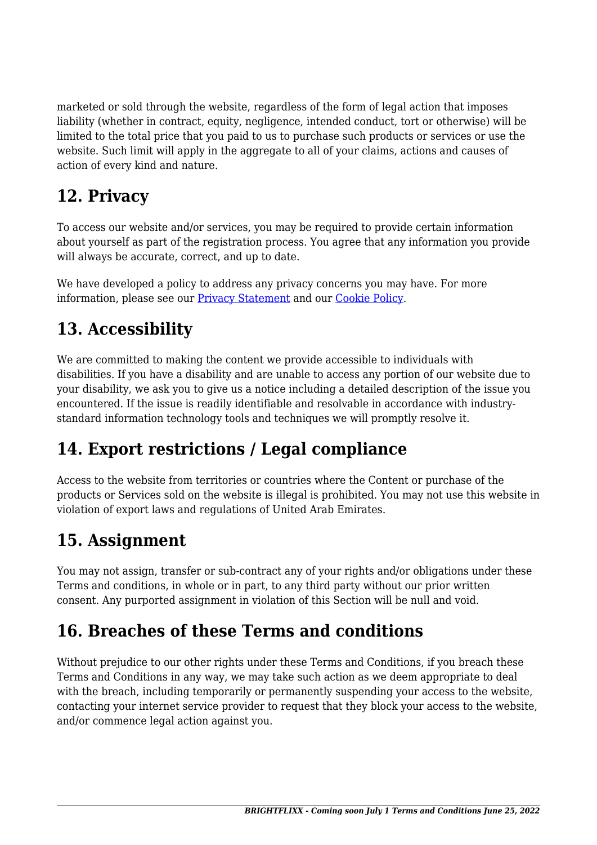marketed or sold through the website, regardless of the form of legal action that imposes liability (whether in contract, equity, negligence, intended conduct, tort or otherwise) will be limited to the total price that you paid to us to purchase such products or services or use the website. Such limit will apply in the aggregate to all of your claims, actions and causes of action of every kind and nature.

### **12. Privacy**

To access our website and/or services, you may be required to provide certain information about yourself as part of the registration process. You agree that any information you provide will always be accurate, correct, and up to date.

We have developed a policy to address any privacy concerns you may have. For more information, please see our [Privacy Statement](https://www.brightflixx.com/privacy-statement-us/?cmplz_region_redirect=true) and our [Cookie Policy](https://www.brightflixx.com/cookie-policy-us/?cmplz_region_redirect=true).

### **13. Accessibility**

We are committed to making the content we provide accessible to individuals with disabilities. If you have a disability and are unable to access any portion of our website due to your disability, we ask you to give us a notice including a detailed description of the issue you encountered. If the issue is readily identifiable and resolvable in accordance with industrystandard information technology tools and techniques we will promptly resolve it.

### **14. Export restrictions / Legal compliance**

Access to the website from territories or countries where the Content or purchase of the products or Services sold on the website is illegal is prohibited. You may not use this website in violation of export laws and regulations of United Arab Emirates.

# **15. Assignment**

You may not assign, transfer or sub-contract any of your rights and/or obligations under these Terms and conditions, in whole or in part, to any third party without our prior written consent. Any purported assignment in violation of this Section will be null and void.

### **16. Breaches of these Terms and conditions**

Without prejudice to our other rights under these Terms and Conditions, if you breach these Terms and Conditions in any way, we may take such action as we deem appropriate to deal with the breach, including temporarily or permanently suspending your access to the website, contacting your internet service provider to request that they block your access to the website, and/or commence legal action against you.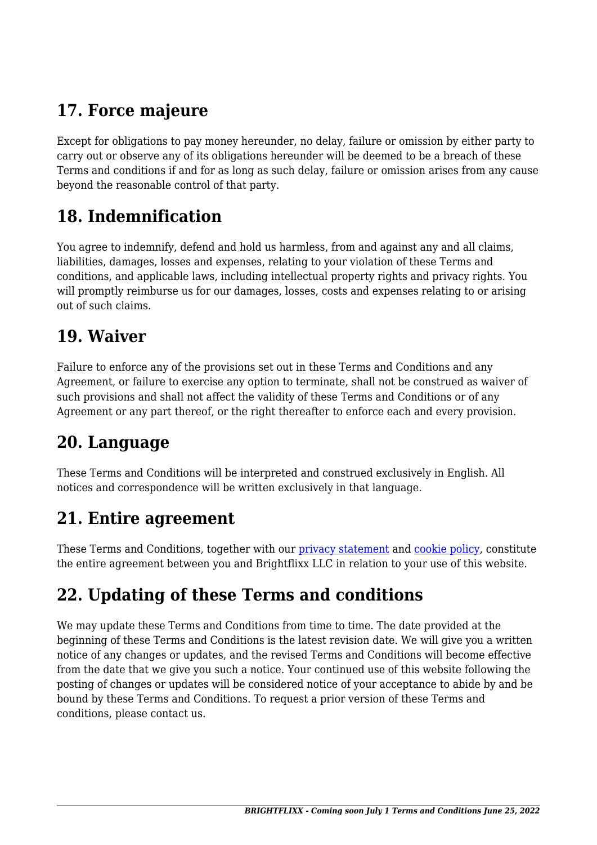## **17. Force majeure**

Except for obligations to pay money hereunder, no delay, failure or omission by either party to carry out or observe any of its obligations hereunder will be deemed to be a breach of these Terms and conditions if and for as long as such delay, failure or omission arises from any cause beyond the reasonable control of that party.

#### **18. Indemnification**

You agree to indemnify, defend and hold us harmless, from and against any and all claims, liabilities, damages, losses and expenses, relating to your violation of these Terms and conditions, and applicable laws, including intellectual property rights and privacy rights. You will promptly reimburse us for our damages, losses, costs and expenses relating to or arising out of such claims.

#### **19. Waiver**

Failure to enforce any of the provisions set out in these Terms and Conditions and any Agreement, or failure to exercise any option to terminate, shall not be construed as waiver of such provisions and shall not affect the validity of these Terms and Conditions or of any Agreement or any part thereof, or the right thereafter to enforce each and every provision.

#### **20. Language**

These Terms and Conditions will be interpreted and construed exclusively in English. All notices and correspondence will be written exclusively in that language.

#### **21. Entire agreement**

These Terms and Conditions, together with our [privacy statement](https://www.brightflixx.com/privacy-statement-us/?cmplz_region_redirect=true) and [cookie policy,](https://www.brightflixx.com/cookie-policy-us/?cmplz_region_redirect=true) constitute the entire agreement between you and Brightflixx LLC in relation to your use of this website.

# **22. Updating of these Terms and conditions**

We may update these Terms and Conditions from time to time. The date provided at the beginning of these Terms and Conditions is the latest revision date. We will give you a written notice of any changes or updates, and the revised Terms and Conditions will become effective from the date that we give you such a notice. Your continued use of this website following the posting of changes or updates will be considered notice of your acceptance to abide by and be bound by these Terms and Conditions. To request a prior version of these Terms and conditions, please contact us.